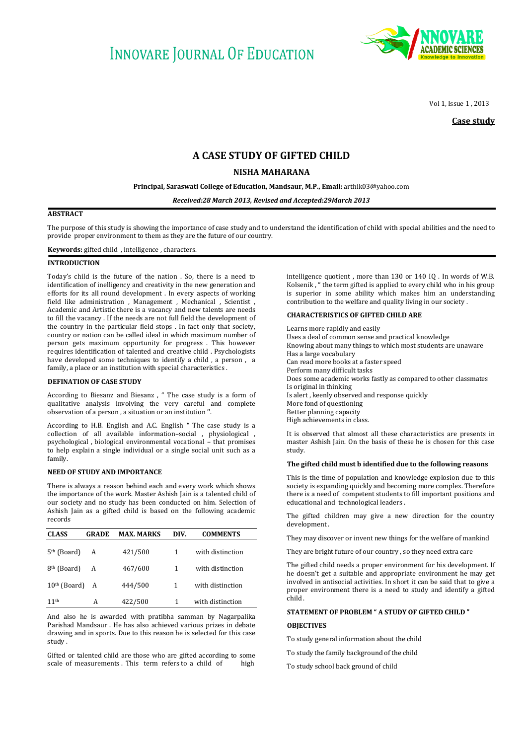# **INNOVARE JOURNAL OF EDUCATION**



Vol 1, Issue 1 , 2013

**Case study** 

## **A CASE STUDY OF GIFTED CHILD**

## **NISHA MAHARANA**

**Principal, Saraswati College of Education, Mandsaur, M.P., Email:** [arthik03@yahoo.com](mailto:arthik03@yahoo.com)

*Received:28 March 2013, Revised and Accepted:29March 2013*

## **ABSTRACT**

The purpose of this study is showing the importance of case study and to understand the identification of child with special abilities and the need to provide proper environment to them as they are the future of our country.

**Keywords:** gifted child , intelligence , characters.

#### **INTRODUCTION**

Today's child is the future of the nation . So, there is a need to identification of inelligency and creativity in the new generation and efforts for its all round development . In every aspects of working field like administration , Management , Mechanical , Scientist , Academic and Artistic there is a vacancy and new talents are needs to fill the vacancy . If the needs are not full field the development of the country in the particular field stops . In fact only that society, country or nation can be called ideal in which maximum number of person gets maximum opportunity for progress . This however requires identification of talented and creative child . Psychologists have developed some techniques to identify a child , a person , a family, a place or an institution with special characteristics.

#### **DEFINATION OF CASE STUDY**

According to Biesanz and Biesanz , " The case study is a form of qualitative analysis involving the very careful and complete observation of a person , a situation or an institution ''.

According to H.B. English and A.C. English " The case study is a collection of all available information–social , physiological , psychological , biological environmental vocational – that promises to help explain a single individual or a single social unit such as a family.

## **NEED OF STUDY AND IMPORTANCE**

There is always a reason behind each and every work which shows the importance of the work. Master Ashish Jain is a talented child of our society and no study has been conducted on him. Selection of Ashish Jain as a gifted child is based on the following academic records

| <b>CLASS</b>            | <b>GRADE</b> | <b>MAX. MARKS</b> | DIV. | <b>COMMENTS</b>  |
|-------------------------|--------------|-------------------|------|------------------|
| $5th$ (Board)           | A            | 421/500           | 1    | with distinction |
| 8 <sup>th</sup> (Board) | A            | 467/600           | 1    | with distinction |
| $10th$ (Board)          | A            | 444/500           | 1    | with distinction |
| 11 <sup>th</sup>        | А            | 422/500           | 1    | with distinction |

And also he is awarded with pratibha samman by Nagarpalika Parishad Mandsaur . He has also achieved various prizes in debate drawing and in sports. Due to this reason he is selected for this case study .

Gifted or talented child are those who are gifted according to some scale of measurements. This term refers to a child of high

intelligence quotient , more than 130 or 140 IQ . In words of W.B. Kolsenik , " the term gifted is applied to every child who in his group is superior in some ability which makes him an understanding contribution to the welfare and quality living in our society .

## **CHARACTERISTICS OF GIFTED CHILD ARE**

Learns more rapidly and easily Uses a deal of common sense and practical knowledge Knowing about many things to which most students are unaware Has a large vocabulary Can read more books at a faster speed Perform many difficult tasks Does some academic works fastly as compared to other classmates Is original in thinking Is alert , keenly observed and response quickly More fond of questioning Better planning capacity High achievements in class.

It is observed that almost all these characteristics are presents in master Ashish Jain. On the basis of these he is chosen for this case study.

## **The gifted child must b identified due to the following reasons**

This is the time of population and knowledge explosion due to this society is expanding quickly and becoming more complex. Therefore there is a need of competent students to fill important positions and educational and technological leaders .

The gifted children may give a new direction for the country development .

They may discover or invent new things for the welfare of mankind

They are bright future of our country , so they need extra care

The gifted child needs a proper environment for his development. If he doesn't get a suitable and appropriate environment he may get involved in antisocial activities. In short it can be said that to give a proper environment there is a need to study and identify a gifted child .

## **STATEMENT OF PROBLEM " A STUDY OF GIFTED CHILD "**

## **OBJECTIVES**

To study general information about the child

To study the family background of the child

To study school back ground of child